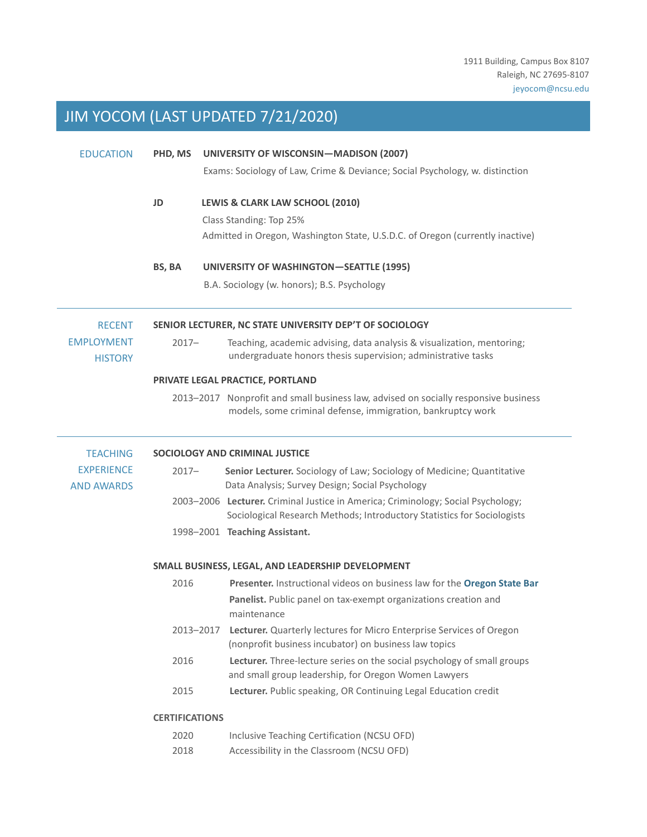# JIM YOCOM (LAST UPDATED 7/21/2020)

| <b>EDUCATION</b>                       | PHD, MS                                                 | UNIVERSITY OF WISCONSIN-MADISON (2007)                                                                                                                      |  |
|----------------------------------------|---------------------------------------------------------|-------------------------------------------------------------------------------------------------------------------------------------------------------------|--|
|                                        |                                                         | Exams: Sociology of Law, Crime & Deviance; Social Psychology, w. distinction                                                                                |  |
|                                        | JD                                                      | LEWIS & CLARK LAW SCHOOL (2010)                                                                                                                             |  |
|                                        |                                                         | Class Standing: Top 25%                                                                                                                                     |  |
|                                        |                                                         | Admitted in Oregon, Washington State, U.S.D.C. of Oregon (currently inactive)                                                                               |  |
|                                        | BS, BA                                                  | <b>UNIVERSITY OF WASHINGTON-SEATTLE (1995)</b>                                                                                                              |  |
|                                        |                                                         | B.A. Sociology (w. honors); B.S. Psychology                                                                                                                 |  |
| <b>RECENT</b>                          | SENIOR LECTURER, NC STATE UNIVERSITY DEP'T OF SOCIOLOGY |                                                                                                                                                             |  |
| <b>EMPLOYMENT</b><br><b>HISTORY</b>    | $2017 -$                                                | Teaching, academic advising, data analysis & visualization, mentoring;<br>undergraduate honors thesis supervision; administrative tasks                     |  |
|                                        | PRIVATE LEGAL PRACTICE, PORTLAND                        |                                                                                                                                                             |  |
|                                        |                                                         | 2013-2017 Nonprofit and small business law, advised on socially responsive business<br>models, some criminal defense, immigration, bankruptcy work          |  |
| <b>TEACHING</b>                        | SOCIOLOGY AND CRIMINAL JUSTICE                          |                                                                                                                                                             |  |
| <b>EXPERIENCE</b><br><b>AND AWARDS</b> | $2017 -$                                                | Senior Lecturer. Sociology of Law; Sociology of Medicine; Quantitative<br>Data Analysis; Survey Design; Social Psychology                                   |  |
|                                        |                                                         | 2003-2006 Lecturer. Criminal Justice in America; Criminology; Social Psychology;<br>Sociological Research Methods; Introductory Statistics for Sociologists |  |
|                                        |                                                         | 1998-2001 Teaching Assistant.                                                                                                                               |  |
|                                        | SMALL BUSINESS, LEGAL, AND LEADERSHIP DEVELOPMENT       |                                                                                                                                                             |  |
|                                        | 2016                                                    | Presenter. Instructional videos on business law for the Oregon State Bar                                                                                    |  |
|                                        |                                                         | Panelist. Public panel on tax-exempt organizations creation and<br>maintenance                                                                              |  |
|                                        | 2013-2017                                               | Lecturer. Quarterly lectures for Micro Enterprise Services of Oregon<br>(nonprofit business incubator) on business law topics                               |  |
|                                        | 2016                                                    | Lecturer. Three-lecture series on the social psychology of small groups<br>and small group leadership, for Oregon Women Lawyers                             |  |
|                                        | 2015                                                    | Lecturer. Public speaking, OR Continuing Legal Education credit                                                                                             |  |
|                                        | <b>CERTIFICATIONS</b>                                   |                                                                                                                                                             |  |
|                                        | 2020                                                    | Inclusive Teaching Certification (NCSU OFD)                                                                                                                 |  |
|                                        | 2018                                                    | Accessibility in the Classroom (NCSU OFD)                                                                                                                   |  |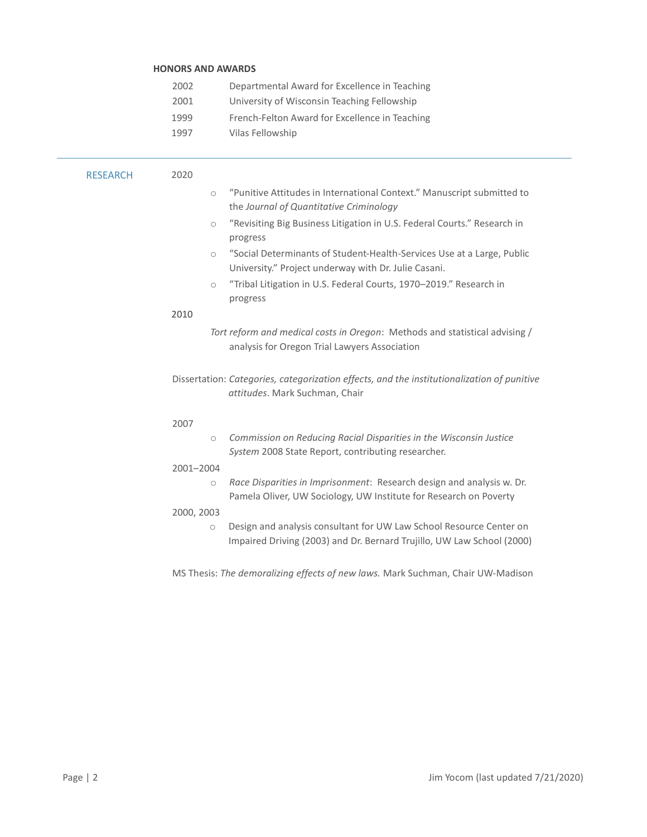# HONORS AND AWARDS 2002 Departmental Award for Excellence in Teaching 2001 University of Wisconsin Teaching Fellowship 1999 French-Felton Award for Excellence in Teaching 1997 Vilas Fellowship RESEARCH 2020 o "Punitive Attitudes in International Context." Manuscript submitted to the Journal of Quantitative Criminology o "Revisiting Big Business Litigation in U.S. Federal Courts." Research in progress o "Social Determinants of Student-Health-Services Use at a Large, Public University." Project underway with Dr. Julie Casani. o "Tribal Litigation in U.S. Federal Courts, 1970–2019." Research in progress 2010 Tort reform and medical costs in Oregon: Methods and statistical advising / analysis for Oregon Trial Lawyers Association Dissertation: Categories, categorization effects, and the institutionalization of punitive attitudes. Mark Suchman, Chair 2007 o Commission on Reducing Racial Disparities in the Wisconsin Justice System 2008 State Report, contributing researcher. 2001–2004 o Race Disparities in Imprisonment: Research design and analysis w. Dr. Pamela Oliver, UW Sociology, UW Institute for Research on Poverty 2000, 2003 o Design and analysis consultant for UW Law School Resource Center on Impaired Driving (2003) and Dr. Bernard Trujillo, UW Law School (2000) MS Thesis: The demoralizing effects of new laws. Mark Suchman, Chair UW-Madison